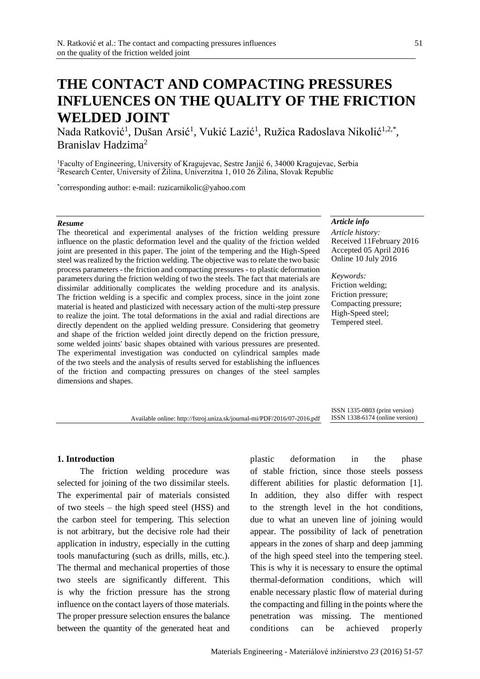# **THE CONTACT AND COMPACTING PRESSURES INFLUENCES ON THE QUALITY OF THE FRICTION WELDED JOINT**

Nada Ratković<sup>1</sup>, Dušan Arsić<sup>1</sup>, Vukić Lazić<sup>1</sup>, Ružica Radoslava Nikolić<sup>1,2,\*</sup>, Branislav Hadzima<sup>2</sup>

<sup>1</sup>Faculty of Engineering, University of Kragujevac, Sestre Janjić 6, 34000 Kragujevac, Serbia <sup>2</sup>Research Center, University of Žilina, Univerzitna 1, 010 26 Žilina, Slovak Republic

\* corresponding author: e-mail: ruzicarnikolic@yahoo.com

#### *Resume*

The theoretical and experimental analyses of the friction welding pressure influence on the plastic deformation level and the quality of the friction welded joint are presented in this paper. The joint of the tempering and the High-Speed steel was realized by the friction welding. The objective was to relate the two basic process parameters - the friction and compacting pressures - to plastic deformation parameters during the friction welding of two the steels. The fact that materials are dissimilar additionally complicates the welding procedure and its analysis. The friction welding is a specific and complex process, since in the joint zone material is heated and plasticized with necessary action of the multi-step pressure to realize the joint. The total deformations in the axial and radial directions are directly dependent on the applied welding pressure. Considering that geometry and shape of the friction welded joint directly depend on the friction pressure, some welded joints' basic shapes obtained with various pressures are presented. The experimental investigation was conducted on cylindrical samples made of the two steels and the analysis of results served for establishing the influences of the friction and compacting pressures on changes of the steel samples dimensions and shapes.

#### *Article info*

*Article history:* Received 11February 2016 Accepted 05 April 2016 Online 10 July 2016

*Keywords:* Friction welding; Friction pressure; Compacting pressure; High-Speed steel; Tempered steel.

ISSN 1335-0803 (print version)

Available online: http://fstroj.uniza.sk/journal-mi/PDF/2016/07-2016.pdf ISSN 1338-6174 (online version)

### **1. Introduction**

The friction welding procedure was selected for joining of the two dissimilar steels. The experimental pair of materials consisted of two steels – the high speed steel (HSS) and the carbon steel for tempering. This selection is not arbitrary, but the decisive role had their application in industry, especially in the cutting tools manufacturing (such as drills, mills, etc.). The thermal and mechanical properties of those two steels are significantly different. This is why the friction pressure has the strong influence on the contact layers of those materials. The proper pressure selection ensures the balance between the quantity of the generated heat and

plastic deformation in the phase of stable friction, since those steels possess different abilities for plastic deformation [1]. In addition, they also differ with respect to the strength level in the hot conditions, due to what an uneven line of joining would appear. The possibility of lack of penetration appears in the zones of sharp and deep jamming of the high speed steel into the tempering steel. This is why it is necessary to ensure the optimal thermal-deformation conditions, which will enable necessary plastic flow of material during the compacting and filling in the points where the penetration was missing. The mentioned conditions can be achieved properly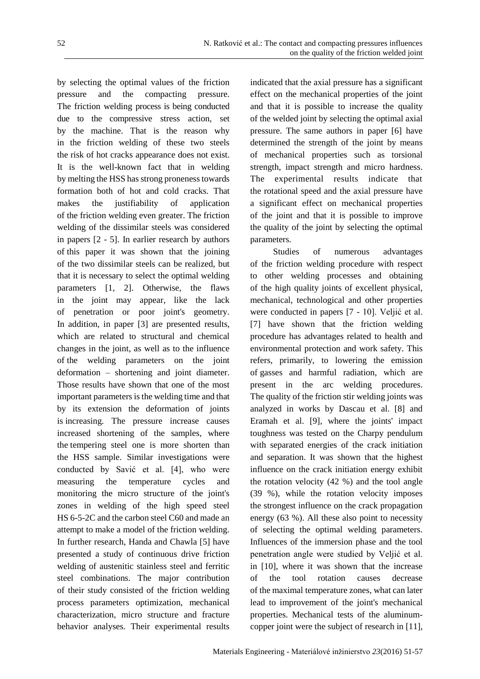by selecting the optimal values of the friction pressure and the compacting pressure. The friction welding process is being conducted due to the compressive stress action, set by the machine. That is the reason why in the friction welding of these two steels the risk of hot cracks appearance does not exist. It is the well-known fact that in welding by melting the HSS has strong proneness towards formation both of hot and cold cracks. That makes the justifiability of application of the friction welding even greater. The friction welding of the dissimilar steels was considered in papers [2 - 5]. In earlier research by authors of this paper it was shown that the joining of the two dissimilar steels can be realized, but that it is necessary to select the optimal welding parameters [1, 2]. Otherwise, the flaws in the joint may appear, like the lack of penetration or poor joint's geometry. In addition, in paper [3] are presented results, which are related to structural and chemical changes in the joint, as well as to the influence of the welding parameters on the joint deformation – shortening and joint diameter. Those results have shown that one of the most important parameters is the welding time and that by its extension the deformation of joints is increasing. The pressure increase causes increased shortening of the samples, where the tempering steel one is more shorten than the HSS sample. Similar investigations were conducted by Savić et al. [4], who were measuring the temperature cycles and monitoring the micro structure of the joint's zones in welding of the high speed steel HS 6-5-2C and the carbon steel C60 and made an attempt to make a model of the friction welding. In further research, Handa and Chawla [5] have presented a study of continuous drive friction welding of austenitic stainless steel and ferritic steel combinations. The major contribution of their study consisted of the friction welding process parameters optimization, mechanical characterization, micro structure and fracture behavior analyses. Their experimental results indicated that the axial pressure has a significant effect on the mechanical properties of the joint and that it is possible to increase the quality of the welded joint by selecting the optimal axial pressure. The same authors in paper [6] have determined the strength of the joint by means of mechanical properties such as torsional strength, impact strength and micro hardness. The experimental results indicate that the rotational speed and the axial pressure have a significant effect on mechanical properties of the joint and that it is possible to improve the quality of the joint by selecting the optimal parameters.

Studies of numerous advantages of the friction welding procedure with respect to other welding processes and obtaining of the high quality joints of excellent physical, mechanical, technological and other properties were conducted in papers [7 - 10]. Veljić et al. [7] have shown that the friction welding procedure has advantages related to health and environmental protection and work safety. This refers, primarily, to lowering the emission of gasses and harmful radiation, which are present in the arc welding procedures. The quality of the friction stir welding joints was analyzed in works by Dascau et al. [8] and Eramah et al. [9], where the joints' impact toughness was tested on the Charpy pendulum with separated energies of the crack initiation and separation. It was shown that the highest influence on the crack initiation energy exhibit the rotation velocity (42 %) and the tool angle (39 %), while the rotation velocity imposes the strongest influence on the crack propagation energy (63 %). All these also point to necessity of selecting the optimal welding parameters. Influences of the immersion phase and the tool penetration angle were studied by Veljić et al. in [10], where it was shown that the increase of the tool rotation causes decrease of the maximal temperature zones, what can later lead to improvement of the joint's mechanical properties. Mechanical tests of the aluminumcopper joint were the subject of research in [11],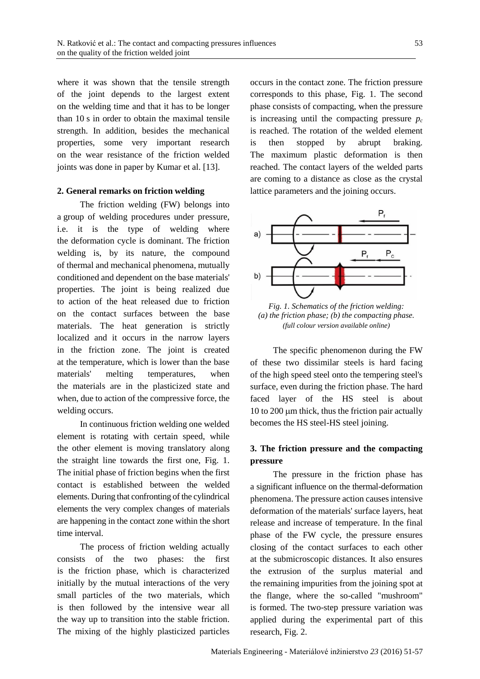where it was shown that the tensile strength of the joint depends to the largest extent on the welding time and that it has to be longer than 10 s in order to obtain the maximal tensile strength. In addition, besides the mechanical properties, some very important research on the wear resistance of the friction welded joints was done in paper by Kumar et al. [13].

# **2. General remarks on friction welding**

The friction welding (FW) belongs into a group of welding procedures under pressure, i.e. it is the type of welding where the deformation cycle is dominant. The friction welding is, by its nature, the compound of thermal and mechanical phenomena, mutually conditioned and dependent on the base materials' properties. The joint is being realized due to action of the heat released due to friction on the contact surfaces between the base materials. The heat generation is strictly localized and it occurs in the narrow layers in the friction zone. The joint is created at the temperature, which is lower than the base materials' melting temperatures, when the materials are in the plasticized state and when, due to action of the compressive force, the welding occurs.

In continuous friction welding one welded element is rotating with certain speed, while the other element is moving translatory along the straight line towards the first one, Fig. 1. The initial phase of friction begins when the first contact is established between the welded elements. During that confronting of the cylindrical elements the very complex changes of materials are happening in the contact zone within the short time interval.

The process of friction welding actually consists of the two phases: the first is the friction phase, which is characterized initially by the mutual interactions of the very small particles of the two materials, which is then followed by the intensive wear all the way up to transition into the stable friction. The mixing of the highly plasticized particles

occurs in the contact zone. The friction pressure corresponds to this phase, Fig. 1. The second phase consists of compacting, when the pressure is increasing until the compacting pressure  $p_c$ is reached. The rotation of the welded element is then stopped by abrupt braking. The maximum plastic deformation is then reached. The contact layers of the welded parts are coming to a distance as close as the crystal lattice parameters and the joining occurs.



*Fig. 1. Schematics of the friction welding: (a) the friction phase; (b) the compacting phase. (full colour version available online)*

The specific phenomenon during the FW of these two dissimilar steels is hard facing of the high speed steel onto the tempering steel's surface, even during the friction phase. The hard faced layer of the HS steel is about  $10$  to  $200 \mu m$  thick, thus the friction pair actually becomes the HS steel-HS steel joining.

# **3. The friction pressure and the compacting pressure**

The pressure in the friction phase has a significant influence on the thermal-deformation phenomena. The pressure action causes intensive deformation of the materials' surface layers, heat release and increase of temperature. In the final phase of the FW cycle, the pressure ensures closing of the contact surfaces to each other at the submicroscopic distances. It also ensures the extrusion of the surplus material and the remaining impurities from the joining spot at the flange, where the so-called "mushroom" is formed. The two-step pressure variation was applied during the experimental part of this research, Fig. 2.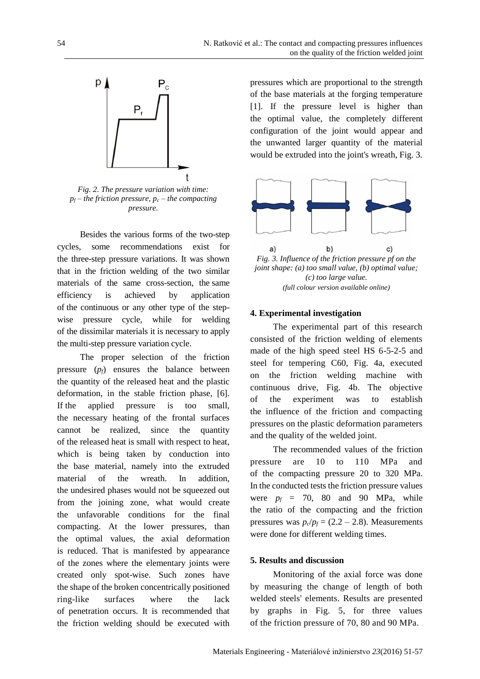

*Fig. 2. The pressure variation with time:*   $p_f$  – *the friction pressure,*  $p_c$  *– the compacting pressure.*

Besides the various forms of the two-step cycles, some recommendations exist for the three-step pressure variations. It was shown that in the friction welding of the two similar materials of the same cross-section, the same efficiency is achieved by application of the continuous or any other type of the stepwise pressure cycle, while for welding of the dissimilar materials it is necessary to apply the multi-step pressure variation cycle.

The proper selection of the friction pressure  $(p_f)$  ensures the balance between the quantity of the released heat and the plastic deformation, in the stable friction phase, [6]. If the applied pressure is too small, the necessary heating of the frontal surfaces cannot be realized, since the quantity of the released heat is small with respect to heat, which is being taken by conduction into the base material, namely into the extruded material of the wreath. In addition, the undesired phases would not be squeezed out from the joining zone, what would create the unfavorable conditions for the final compacting. At the lower pressures, than the optimal values, the axial deformation is reduced. That is manifested by appearance of the zones where the elementary joints were created only spot-wise. Such zones have the shape of the broken concentrically positioned ring-like surfaces where the lack of penetration occurs. It is recommended that the friction welding should be executed with

pressures which are proportional to the strength of the base materials at the forging temperature [1]. If the pressure level is higher than the optimal value, the completely different configuration of the joint would appear and the unwanted larger quantity of the material would be extruded into the joint's wreath, Fig. 3.



*Fig. 3. Influence of the friction pressure pf on the joint shape: (a) too small value, (b) optimal value; (c) too large value. (full colour version available online)*

# **4. Experimental investigation**

The experimental part of this research consisted of the friction welding of elements made of the high speed steel HS 6-5-2-5 and steel for tempering C60, Fig. 4a, executed on the friction welding machine with continuous drive, Fig. 4b. The objective of the experiment was to establish the influence of the friction and compacting pressures on the plastic deformation parameters and the quality of the welded joint.

The recommended values of the friction pressure are 10 to 110 MPa and of the compacting pressure 20 to 320 MPa. In the conducted tests the friction pressure values were  $p_f = 70$ , 80 and 90 MPa, while the ratio of the compacting and the friction pressures was  $p_c/p_f = (2.2 - 2.8)$ . Measurements were done for different welding times.

# **5. Results and discussion**

Monitoring of the axial force was done by measuring the change of length of both welded steels' elements. Results are presented by graphs in Fig. 5, for three values of the friction pressure of 70, 80 and 90 MPa.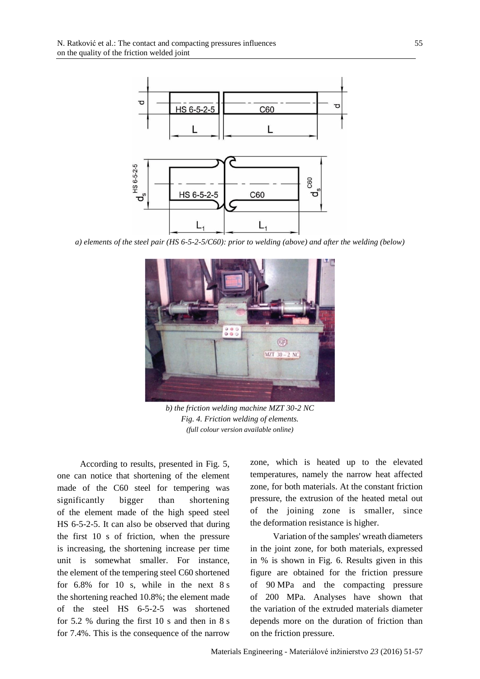

*a) elements of the steel pair (HS 6-5-2-5/C60): prior to welding (above) and after the welding (below)*



*b) the friction welding machine MZT 30-2 NC Fig. 4. Friction welding of elements. (full colour version available online)*

According to results, presented in Fig. 5, one can notice that shortening of the element made of the C60 steel for tempering was significantly bigger than shortening of the element made of the high speed steel HS 6-5-2-5. It can also be observed that during the first 10 s of friction, when the pressure is increasing, the shortening increase per time unit is somewhat smaller. For instance, the element of the tempering steel C60 shortened for 6.8% for 10 s, while in the next 8 s the shortening reached 10.8%; the element made of the steel HS 6-5-2-5 was shortened for 5.2 % during the first 10 s and then in 8 s for 7.4%. This is the consequence of the narrow zone, which is heated up to the elevated temperatures, namely the narrow heat affected zone, for both materials. At the constant friction pressure, the extrusion of the heated metal out of the joining zone is smaller, since the deformation resistance is higher.

Variation of the samples' wreath diameters in the joint zone, for both materials, expressed in % is shown in Fig. 6. Results given in this figure are obtained for the friction pressure of 90 MPa and the compacting pressure of 200 MPa. Analyses have shown that the variation of the extruded materials diameter depends more on the duration of friction than on the friction pressure.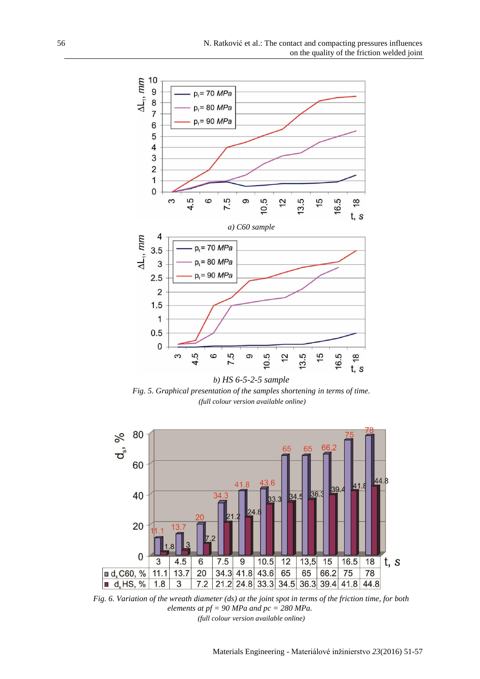

*Fig. 5. Graphical presentation of the samples shortening in terms of time. (full colour version available online)*



*Fig. 6. Variation of the wreath diameter (ds) at the joint spot in terms of the friction time, for both elements at pf = 90 MPa and pc = 280 MPa. (full colour version available online)*